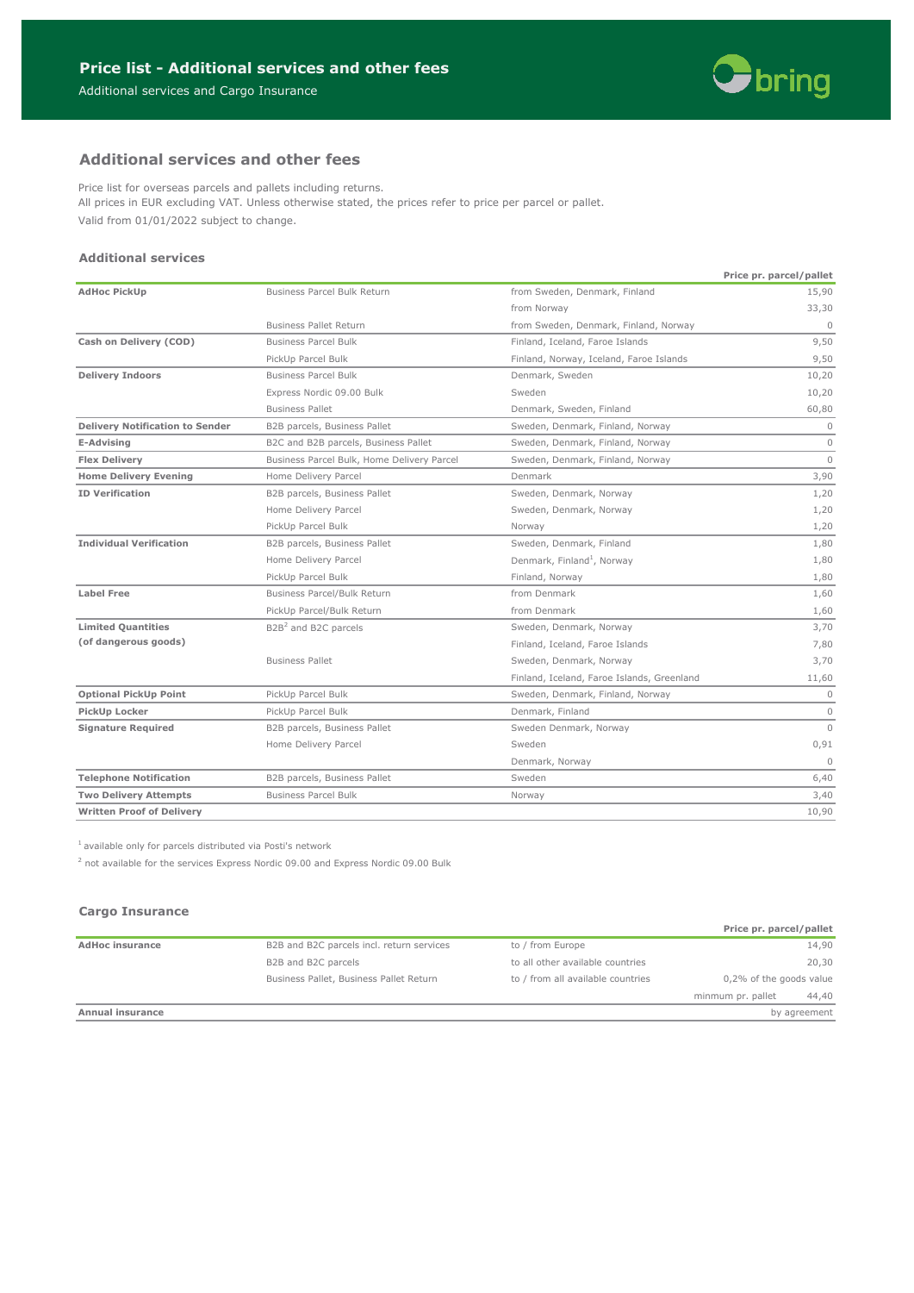

# **Additional services and other fees**

Price list for overseas parcels and pallets including returns. All prices in EUR excluding VAT. Unless otherwise stated, the prices refer to price per parcel or pallet. Valid from 01/01/2022 subject to change.

### **Additional services**

|                                        |                                                            |                                            | Price pr. parcel/pallet |
|----------------------------------------|------------------------------------------------------------|--------------------------------------------|-------------------------|
| <b>AdHoc PickUp</b>                    | <b>Business Parcel Bulk Return</b>                         | from Sweden, Denmark, Finland              | 15,90                   |
|                                        |                                                            | from Norway                                | 33,30                   |
|                                        | <b>Business Pallet Return</b>                              | from Sweden, Denmark, Finland, Norway      | $\mathbf{0}$            |
| Cash on Delivery (COD)                 | <b>Business Parcel Bulk</b>                                | Finland, Iceland, Faroe Islands            | 9,50                    |
|                                        | PickUp Parcel Bulk                                         | Finland, Norway, Iceland, Faroe Islands    | 9,50                    |
| <b>Delivery Indoors</b>                | <b>Business Parcel Bulk</b>                                | Denmark, Sweden                            | 10,20                   |
|                                        | Express Nordic 09.00 Bulk                                  | Sweden                                     | 10,20                   |
|                                        | <b>Business Pallet</b>                                     | Denmark, Sweden, Finland                   | 60,80                   |
| <b>Delivery Notification to Sender</b> | B2B parcels, Business Pallet                               | Sweden, Denmark, Finland, Norway           | $\mathbf{0}$            |
| E-Advising                             | B2C and B2B parcels, Business Pallet                       | Sweden, Denmark, Finland, Norway           | $\circ$                 |
| <b>Flex Delivery</b>                   | Business Parcel Bulk, Home Delivery Parcel                 | Sweden, Denmark, Finland, Norway           | $\Omega$                |
| <b>Home Delivery Evening</b>           | Home Delivery Parcel                                       | Denmark                                    | 3,90                    |
| <b>ID Verification</b>                 | B2B parcels, Business Pallet                               | Sweden, Denmark, Norway                    | 1,20                    |
|                                        | Home Delivery Parcel                                       | Sweden, Denmark, Norway                    | 1,20                    |
|                                        | PickUp Parcel Bulk                                         | Norway                                     | 1,20                    |
| <b>Individual Verification</b>         | B2B parcels, Business Pallet                               | Sweden, Denmark, Finland                   | 1,80                    |
|                                        | Home Delivery Parcel                                       | Denmark, Finland <sup>1</sup> , Norway     | 1,80                    |
|                                        | PickUp Parcel Bulk                                         | Finland, Norway                            | 1,80                    |
| <b>Label Free</b>                      | Business Parcel/Bulk Return                                | from Denmark                               | 1,60                    |
|                                        | PickUp Parcel/Bulk Return                                  | from Denmark                               | 1,60                    |
| <b>Limited Quantities</b>              | B <sub>2</sub> B <sup>2</sup> and B <sub>2</sub> C parcels | Sweden, Denmark, Norway                    | 3,70                    |
| (of dangerous goods)                   |                                                            | Finland, Iceland, Faroe Islands            | 7,80                    |
|                                        | <b>Business Pallet</b>                                     | Sweden, Denmark, Norway                    | 3,70                    |
|                                        |                                                            | Finland, Iceland, Faroe Islands, Greenland | 11,60                   |
| <b>Optional PickUp Point</b>           | PickUp Parcel Bulk                                         | Sweden, Denmark, Finland, Norway           | $\mathbf{0}$            |
| PickUp Locker                          | PickUp Parcel Bulk                                         | Denmark, Finland                           | $\circ$                 |
| <b>Signature Required</b>              | B2B parcels, Business Pallet                               | Sweden Denmark, Norway                     | $\Omega$                |
|                                        | Home Delivery Parcel                                       | Sweden                                     | 0,91                    |
|                                        |                                                            | Denmark, Norway                            | $\Omega$                |
| <b>Telephone Notification</b>          | B2B parcels, Business Pallet                               | Sweden                                     | 6,40                    |
| <b>Two Delivery Attempts</b>           | <b>Business Parcel Bulk</b>                                | Norway                                     | 3,40                    |
| <b>Written Proof of Delivery</b>       |                                                            |                                            | 10,90                   |

 $1$  available only for parcels distributed via Posti's network

 $2$  not available for the services Express Nordic 09.00 and Express Nordic 09.00 Bulk

# **Cargo Insurance**

|                        |                                           |                                   | Price pr. parcel/pallet |       |
|------------------------|-------------------------------------------|-----------------------------------|-------------------------|-------|
| <b>AdHoc insurance</b> | B2B and B2C parcels incl. return services | to / from Europe                  |                         | 14,90 |
|                        | B2B and B2C parcels                       | to all other available countries  |                         | 20,30 |
|                        | Business Pallet, Business Pallet Return   | to / from all available countries | 0,2% of the goods value |       |
|                        |                                           |                                   | minmum pr. pallet       | 44,40 |
| Annual insurance       |                                           |                                   | by agreement            |       |